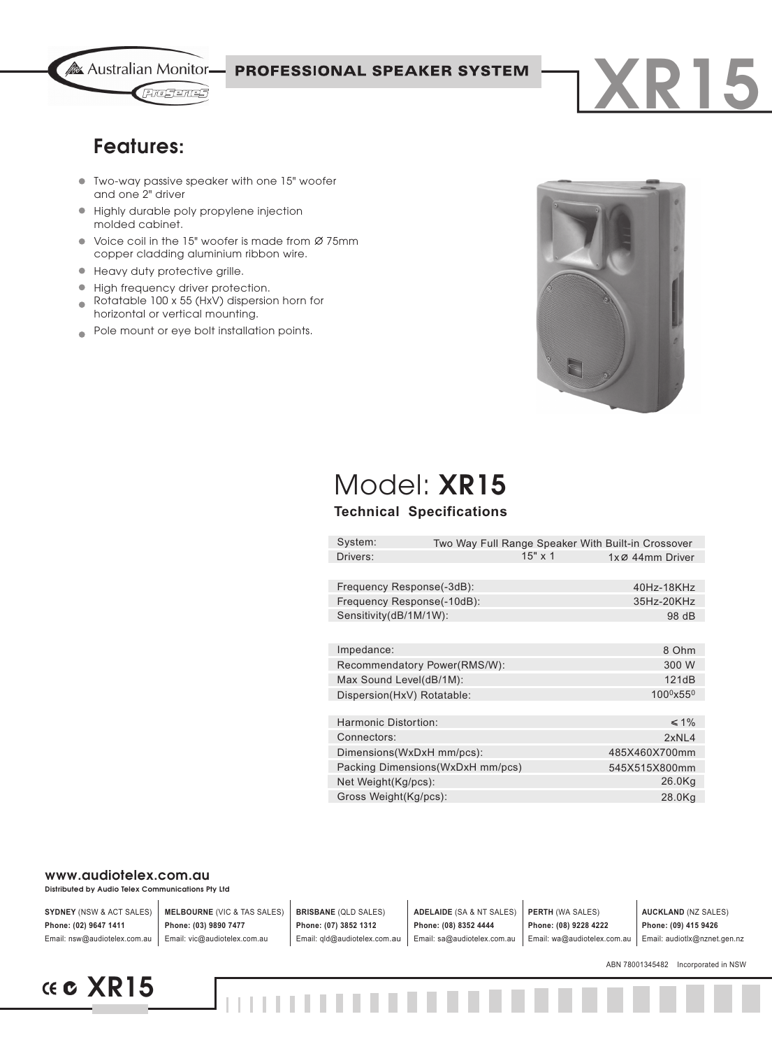

**PROFESSIONAL SPEAKER SYSTEM** 

## **Features:**

- Two-way passive speaker with one 15" woofer and one 2" driver
- Highly durable poly propylene injection  $\bullet$ molded cabinet.
- $\bullet$  Voice coil in the 15" woofer is made from  $\varnothing$  75mm copper cladding aluminium ribbon wire.
- **Heavy duty protective grille.**
- High frequency driver protection.
- Rotatable 100 x 55 (HxV) dispersion horn for  $\bullet$ horizontal or vertical mounting.
- Pole mount or eye bolt installation points.  $\blacksquare$



**XR15**

# Model: **XR15**

### **Technical Specifications**

| System:                          |  |                | Two Way Full Range Speaker With Built-in Crossover |
|----------------------------------|--|----------------|----------------------------------------------------|
| Drivers:                         |  | $15" \times 1$ | $1x \oslash 44$ mm Driver                          |
|                                  |  |                |                                                    |
| Frequency Response(-3dB):        |  |                | 40Hz-18KHz                                         |
| Frequency Response(-10dB):       |  |                | 35Hz-20KHz                                         |
| Sensitivity(dB/1M/1W):           |  | 98 dB          |                                                    |
|                                  |  |                |                                                    |
| Impedance:                       |  |                | 8 Ohm                                              |
| Recommendatory Power(RMS/W):     |  | 300 W          |                                                    |
| Max Sound Level(dB/1M):          |  |                | 121dB                                              |
| Dispersion(HxV) Rotatable:       |  |                | 100 <sup>0</sup> x55 <sup>0</sup>                  |
|                                  |  |                |                                                    |
| Harmonic Distortion:             |  |                | $\leq 1\%$                                         |
| Connectors:                      |  |                | 2xNL4                                              |
| Dimensions(WxDxH mm/pcs):        |  |                | 485X460X700mm                                      |
| Packing Dimensions(WxDxH mm/pcs) |  |                | 545X515X800mm                                      |
| Net Weight(Kg/pcs):              |  |                | 26.0Kg                                             |
| Gross Weight(Kg/pcs):            |  |                | 28.0Kg                                             |
|                                  |  |                |                                                    |

#### **www.audiotelex.com.au**

**Distributed by Audio Telex Communications Pty Ltd**

| <b>SYDNEY (NSW &amp; ACT SALES)</b> | <b>MELBOURNE (VIC &amp; TAS SALES)</b> | <b>BRISBANE</b> (QLD SALES)  | <b>ADELAIDE</b> (SA & NT SALES) | <b>PERTH (WA SALES)</b>     | <b>AUCKLAND (NZ SALES)</b>   |
|-------------------------------------|----------------------------------------|------------------------------|---------------------------------|-----------------------------|------------------------------|
| Phone: (02) 9647 1411               | Phone: (03) 9890 7477                  | Phone: (07) 3852 1312        | Phone: (08) 8352 4444           | Phone: (08) 9228 4222       | Phone: (09) 415 9426         |
| Email: nsw@audiotelex.com.au        | Email: vic@audiotelex.com.au           | Email: gld@audiotelex.com.au | Email: sa@audiotelex.com.au     | Email: wa@audiotelex.com.au | Email: audiotlx@nznet.gen.nz |

ABN 78001345482 Incorporated in NSW